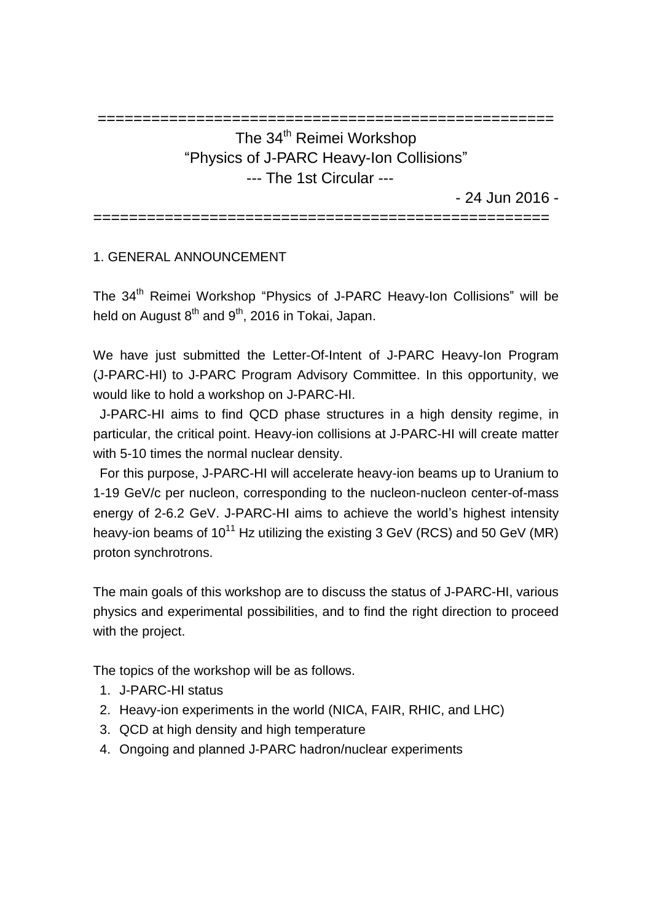# =================================================== The 34<sup>th</sup> Reimei Workshop "Physics of J-PARC Heavy-Ion Collisions" --- The 1st Circular ---

- 24 Jun 2016 -

===================================================

### 1. GENERAL ANNOUNCEMENT

The 34<sup>th</sup> Reimei Workshop "Physics of J-PARC Heavy-Ion Collisions" will be held on August 8<sup>th</sup> and 9<sup>th</sup>, 2016 in Tokai, Japan.

We have just submitted the Letter-Of-Intent of J-PARC Heavy-Ion Program (J-PARC-HI) to J-PARC Program Advisory Committee. In this opportunity, we would like to hold a workshop on J-PARC-HI.

J-PARC-HI aims to find QCD phase structures in a high density regime, in particular, the critical point. Heavy-ion collisions at J-PARC-HI will create matter with 5-10 times the normal nuclear density.

For this purpose, J-PARC-HI will accelerate heavy-ion beams up to Uranium to 1-19 GeV/c per nucleon, corresponding to the nucleon-nucleon center-of-mass energy of 2-6.2 GeV. J-PARC-HI aims to achieve the world's highest intensity heavy-ion beams of  $10^{11}$  Hz utilizing the existing 3 GeV (RCS) and 50 GeV (MR) proton synchrotrons.

The main goals of this workshop are to discuss the status of J-PARC-HI, various physics and experimental possibilities, and to find the right direction to proceed with the project.

The topics of the workshop will be as follows.

- 1. J-PARC-HI status
- 2. Heavy-ion experiments in the world (NICA, FAIR, RHIC, and LHC)
- 3. QCD at high density and high temperature
- 4. Ongoing and planned J-PARC hadron/nuclear experiments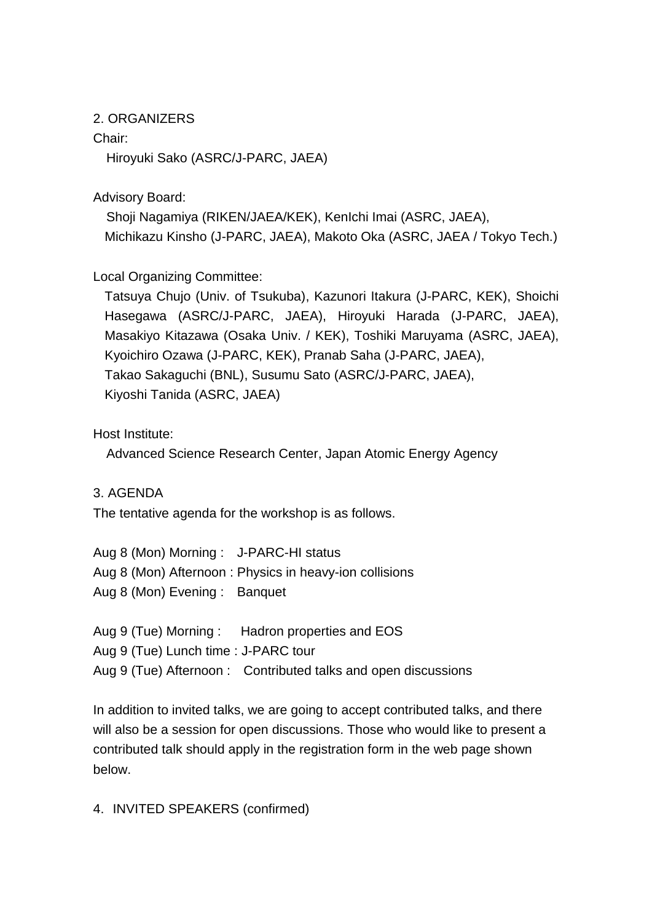#### 2. ORGANIZERS

#### Chair:

Hiroyuki Sako (ASRC/J-PARC, JAEA)

Advisory Board:

 Shoji Nagamiya (RIKEN/JAEA/KEK), KenIchi Imai (ASRC, JAEA), Michikazu Kinsho (J-PARC, JAEA), Makoto Oka (ASRC, JAEA / Tokyo Tech.)

Local Organizing Committee:

Tatsuya Chujo (Univ. of Tsukuba), Kazunori Itakura (J-PARC, KEK), Shoichi Hasegawa (ASRC/J-PARC, JAEA), Hiroyuki Harada (J-PARC, JAEA), Masakiyo Kitazawa (Osaka Univ. / KEK), Toshiki Maruyama (ASRC, JAEA), Kyoichiro Ozawa (J-PARC, KEK), Pranab Saha (J-PARC, JAEA), Takao Sakaguchi (BNL), Susumu Sato (ASRC/J-PARC, JAEA), Kiyoshi Tanida (ASRC, JAEA)

Host Institute:

Advanced Science Research Center, Japan Atomic Energy Agency

3. AGENDA

The tentative agenda for the workshop is as follows.

Aug 8 (Mon) Morning : J-PARC-HI status Aug 8 (Mon) Afternoon : Physics in heavy-ion collisions Aug 8 (Mon) Evening : Banquet

Aug 9 (Tue) Morning : Hadron properties and EOS Aug 9 (Tue) Lunch time : J-PARC tour Aug 9 (Tue) Afternoon : Contributed talks and open discussions

In addition to invited talks, we are going to accept contributed talks, and there will also be a session for open discussions. Those who would like to present a contributed talk should apply in the registration form in the web page shown below.

#### 4. INVITED SPEAKERS (confirmed)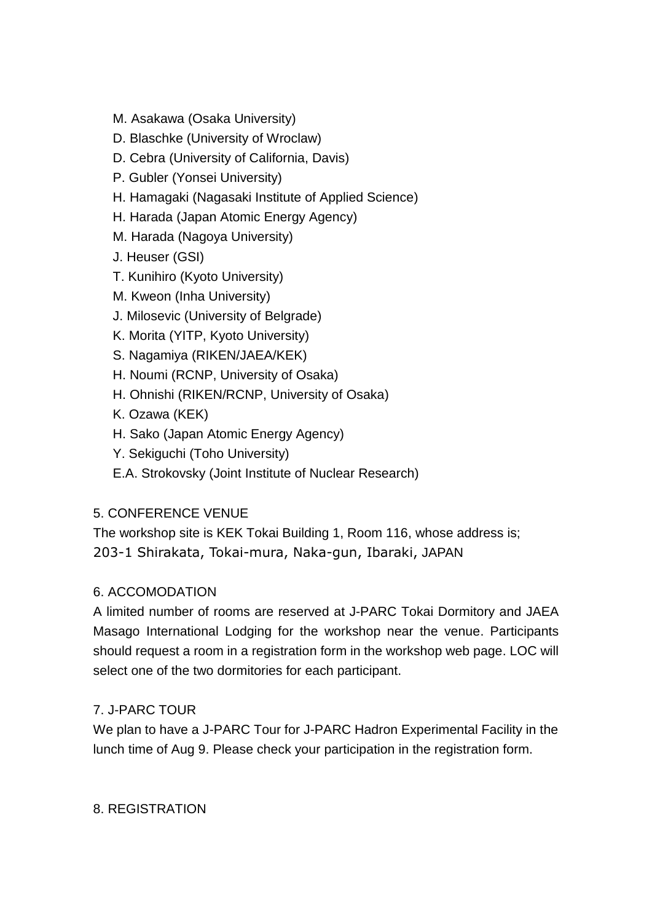M. Asakawa (Osaka University)

### D. Blaschke (University of Wroclaw)

- D. Cebra (University of California, Davis)
- P. Gubler (Yonsei University)
- H. Hamagaki (Nagasaki Institute of Applied Science)
- H. Harada (Japan Atomic Energy Agency)
- M. Harada (Nagoya University)
- J. Heuser (GSI)
- T. Kunihiro (Kyoto University)
- M. Kweon (Inha University)
- J. Milosevic (University of Belgrade)
- K. Morita (YITP, Kyoto University)
- S. Nagamiya (RIKEN/JAEA/KEK)
- H. Noumi (RCNP, University of Osaka)
- H. Ohnishi (RIKEN/RCNP, University of Osaka)
- K. Ozawa (KEK)
- H. Sako (Japan Atomic Energy Agency)
- Y. Sekiguchi (Toho University)
- E.A. Strokovsky (Joint Institute of Nuclear Research)

### 5. CONFERENCE VENUE

The workshop site is KEK Tokai Building 1, Room 116, whose address is; 203-1 Shirakata, Tokai-mura, Naka-gun, Ibaraki, JAPAN

### 6. ACCOMODATION

A limited number of rooms are reserved at J-PARC Tokai Dormitory and JAEA Masago International Lodging for the workshop near the venue. Participants should request a room in a registration form in the workshop web page. LOC will select one of the two dormitories for each participant.

# 7. J-PARC TOUR

We plan to have a J-PARC Tour for J-PARC Hadron Experimental Facility in the lunch time of Aug 9. Please check your participation in the registration form.

# 8. REGISTRATION